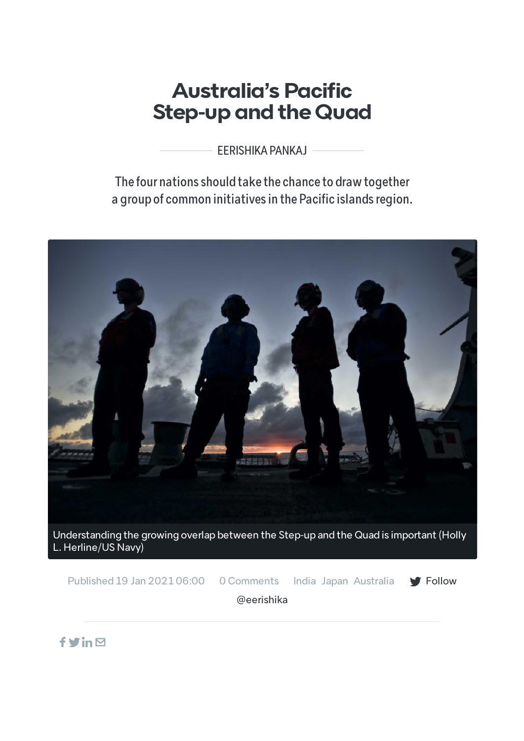# **Australia's Pacific Step-up and the Quad**

[EERISHIKA](https://www.lowyinstitute.org/the-interpreter/contributors/articles/eerishika-pankaj) PANKAJ

The four nations should take the chance to draw together a group of common initiatives in the Pacific islands region.



Published 19 Jan 2021 06:00 0 [Comments](#page-5-0) [India](https://www.lowyinstitute.org/issues/india) [Japan](https://www.lowyinstitute.org/issues/japan) [Australia](https://www.lowyinstitute.org/issues/australia)  $\bullet$  Follow [@eerishika](https://twitter.com/@eerishika)

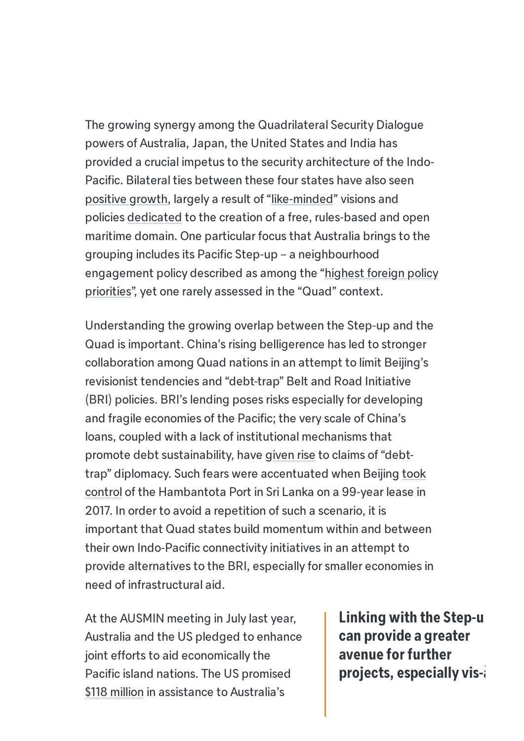The growing synergy among the Quadrilateral Security Dialogue powers of Australia, Japan, the United States and India has provided a crucial impetus to the security architecture of the Indo-Pacific. Bilateral ties between these four states have also seen positive growth, largely a result of "like-minded" visions and policies dedicated to the creation of a free, rules-based and open maritime domain. One particular focus that Australia brings to the grouping includes its Pacific Step-up - a neighbourhood engagement policy described as among the "highest foreign policy priorities", yet one rarely assessed in the "Quad" context.

Understanding the growing overlap between the Step-up and the Quad is important. China's rising belligerence has led to stronger collaboration among Quad nations in an attempt to limit Beijing's revisionist tendencies and "debt-trap" Belt and Road Initiative (BRI) policies. BRI's lending poses risks especially for developing and fragile economies of the Pacific; the very scale of China's loans, coupled with a lack of institutional mechanisms that promote debt sustainability, have given rise to claims of "debttrap" diplomacy. Such fears were accentuated when Beijing took control of the Hambantota Port in Sri Lanka on a 99-year lease in 2017. In order to avoid a repetition of such a scenario, it is important that Quad states build momentum within and between their own Indo-Pacific connectivity initiatives in an attempt to provide alternatives to the BRI, especially for smaller economies in need of infrastructural aid.

At the AUSMIN meeting in July last year, Australia and the US pledged to enhance joint efforts to aid economically the Pacific island nations. The US promised \$118 million in assistance to Australia's

**Linking with the Step-u** can provide a greater avenue for further projects, especially vis-a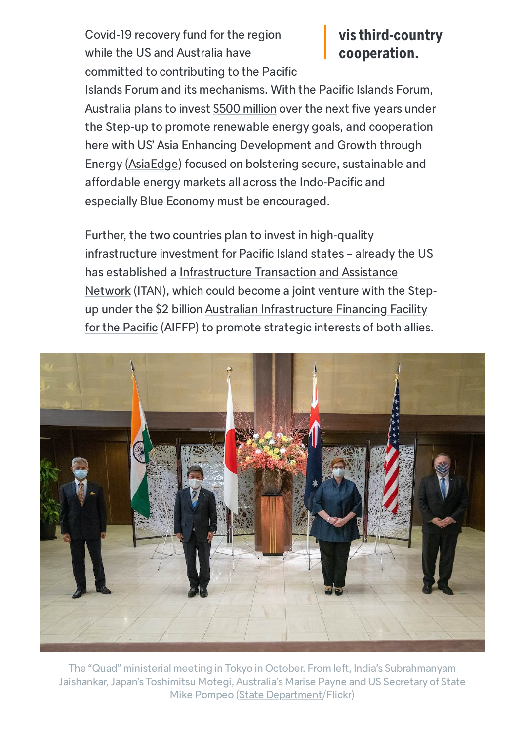Covid-19 recovery fund for the region while the US and Australia have committed to contributing to the Pacific

# **visthird-country cooperation.**

Islands Forum and its mechanisms. With the Pacific Islands Forum, Australia plans to invest \$500 million over the next five years under the Step-up to promote renewable energy goals, and cooperation here with US' Asia Enhancing Development and Growth through Energy (AsiaEdge) focused on bolstering secure, sustainable and affordable energy markets all across the Indo-Pacific and especially Blue Economy must be encouraged.

Further, the two countries plan to invest in high-quality infrastructure investment for Pacific Island states – already the US has established a Infrastructure Transaction and Assistance Network (ITAN), which could become a joint venture with the Stepup under the \$2 billion Australian Infrastructure Financing Facility for the Pacific (AIFFP) to promote strategic interests of both allies.



The "Quad" ministerial meeting in Tokyo in October. From left, India's Subrahmanyam Jaishankar, Japan's Toshimitsu Motegi, Australia's Marise Payne and US Secretary of State Mike Pompeo (State Department/Flickr)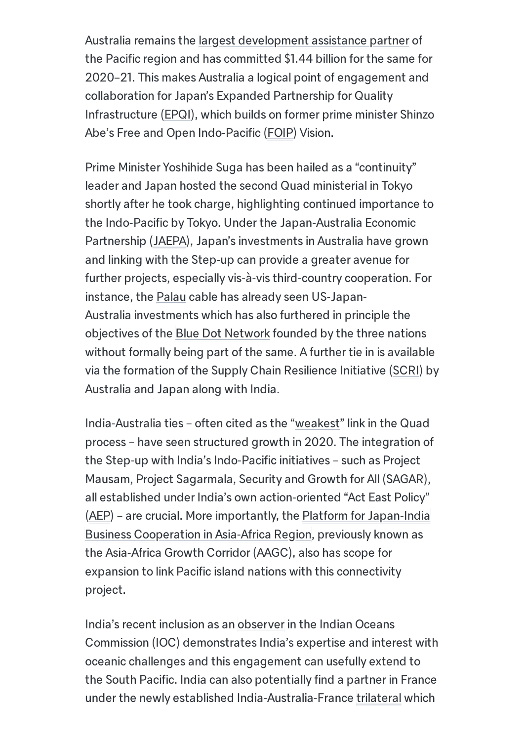Australia remains the largest development assistance partner of the Pacific region and has committed \$1.44 billion for the same for 2020–21. This makes Australia a logical point of engagement and collaboration for Japan's Expanded Partnership for Quality Infrastructure (EPQI), which builds on former prime minister Shinzo Abe's Free and Open Indo-Pacific (FOIP) Vision.

Prime Minister Yoshihide Suga has been hailed as a "continuity" leader and Japan hosted the second Quad ministerial in Tokyo shortly after he took charge, highlighting continued importance to the Indo-Pacific by Tokyo. Under the Japan-Australia Economic Partnership ( [JAEPA](https://www.dfat.gov.au/trade/agreements/in-force/jaepa/Pages/japan-australia-economic-partnership-agreement)), Japan's investments in Australia have grown and linking with the Step-up can provide a greater avenue for further projects, especially vis-à-vis third-country cooperation. For instance, the Palau cable has already seen US-Japan-Australia investments which has also furthered in principle the objectives of the Blue Dot Network founded by the three nations without formally being part of the same. A further tie in is available via the formation of the Supply Chain Resilience Initiative (SCRI) by Australia and Japan along with India.

India-Australia ties – often cited as the "weakest" link in the Quad process – have seen structured growth in 2020. The integration of the Step-up with India's Indo-Pacific initiatives – such as Project Mausam, Project Sagarmala, Security and Growth for All (SAGAR), all established under India's own action-oriented "Act East Policy" [\(AEP](https://pib.gov.in/newsite/PrintRelease.aspx?relid=133837)) – are crucial. More importantly, the Platform for Japan-India Business Cooperation in Asia-Africa Region, previously known as the Asia-Africa Growth Corridor (AAGC), also has scope for expansion to link Pacific island nations with this connectivity project.

India's recent inclusion as an observer in the Indian Oceans Commission (IOC) demonstrates India's expertise and interest with oceanic challenges and this engagement can usefully extend to the South Pacific. India can also potentially find a partner in France under the newly established India-Australia-France trilateral which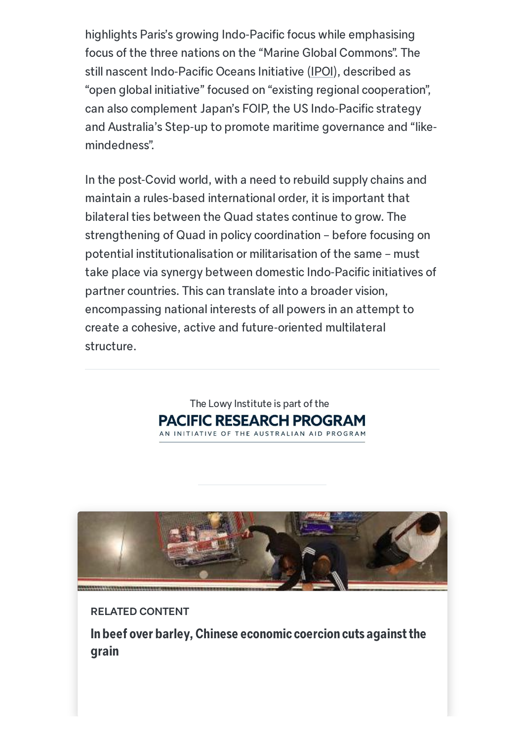highlights Paris's growing Indo-Pacific focus while emphasising focus of the three nations on the "Marine Global Commons". The still nascent Indo-Pacific Oceans Initiative (IPOI), described as "open global initiative" focused on "existing regional cooperation", can also complement Japan's FOIP, the US Indo-Pacific strategy and Australia's Step-up to promote maritime governance and "likemindedness".

In the post-Covid world, with a need to rebuild supply chains and maintain a rules-based international order, it is important that bilateral ties between the Quad states continue to grow. The strengthening of Quad in policy coordination – before focusing on potential institutionalisation or militarisation of the same – must take place via synergy between domestic Indo-Pacific initiatives of partner countries. This can translate into a broader vision, encompassing national interests of all powers in an attempt to create a cohesive, active and future-oriented multilateral structure.

> The Lowy Institute is part of the **PACIFIC RESEARCH PROGRAM** AN INITIATIVE OF THE AUSTRALIAN AID PROGRAM



**RELATED CONTENT**

**In beef over barley, Chinese economic coercion cuts [againstthe](https://www.lowyinstitute.org/the-interpreter/barney-over-beef-chinese-economic-coercion-cuts-against-grain) grain**